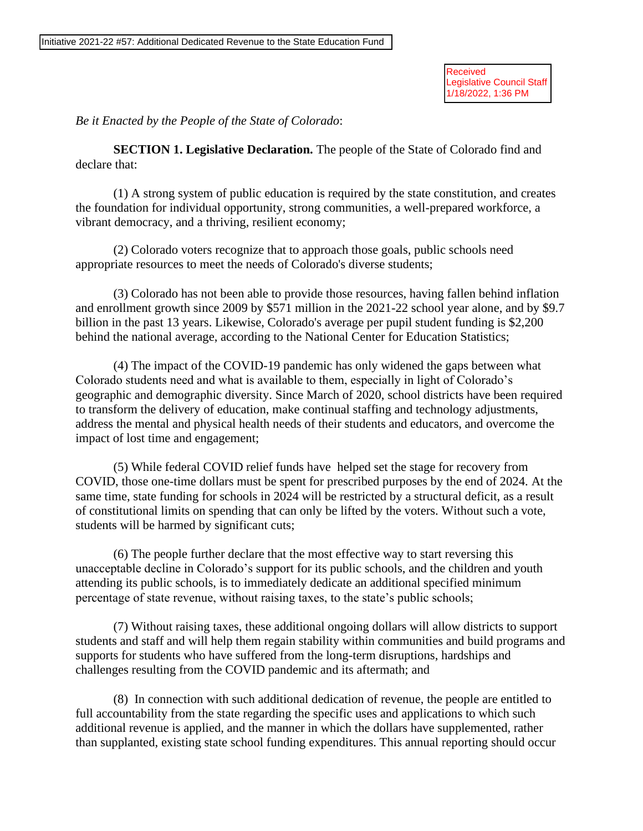Received Legislative Council Staff<br>1/18/2022, 1:36 PM

*Be it Enacted by the People of the State of Colorado*:

**SECTION 1. Legislative Declaration.** The people of the State of Colorado find and declare that:

(1) A strong system of public education is required by the state constitution, and creates the foundation for individual opportunity, strong communities, a well-prepared workforce, a vibrant democracy, and a thriving, resilient economy;

(2) Colorado voters recognize that to approach those goals, public schools need appropriate resources to meet the needs of Colorado's diverse students;

(3) Colorado has not been able to provide those resources, having fallen behind inflation and enrollment growth since 2009 by \$571 million in the 2021-22 school year alone, and by \$9.7 billion in the past 13 years. Likewise, Colorado's average per pupil student funding is \$2,200 behind the national average, according to the National Center for Education Statistics;

(4) The impact of the COVID-19 pandemic has only widened the gaps between what Colorado students need and what is available to them, especially in light of Colorado's geographic and demographic diversity. Since March of 2020, school districts have been required to transform the delivery of education, make continual staffing and technology adjustments, address the mental and physical health needs of their students and educators, and overcome the impact of lost time and engagement;

(5) While federal COVID relief funds have helped set the stage for recovery from COVID, those one-time dollars must be spent for prescribed purposes by the end of 2024. At the same time, state funding for schools in 2024 will be restricted by a structural deficit, as a result of constitutional limits on spending that can only be lifted by the voters. Without such a vote, students will be harmed by significant cuts;

(6) The people further declare that the most effective way to start reversing this unacceptable decline in Colorado's support for its public schools, and the children and youth attending its public schools, is to immediately dedicate an additional specified minimum percentage of state revenue, without raising taxes, to the state's public schools;

(7) Without raising taxes, these additional ongoing dollars will allow districts to support students and staff and will help them regain stability within communities and build programs and supports for students who have suffered from the long-term disruptions, hardships and challenges resulting from the COVID pandemic and its aftermath; and

(8) In connection with such additional dedication of revenue, the people are entitled to full accountability from the state regarding the specific uses and applications to which such additional revenue is applied, and the manner in which the dollars have supplemented, rather than supplanted, existing state school funding expenditures. This annual reporting should occur